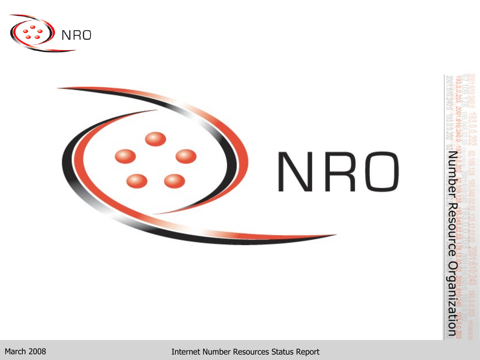

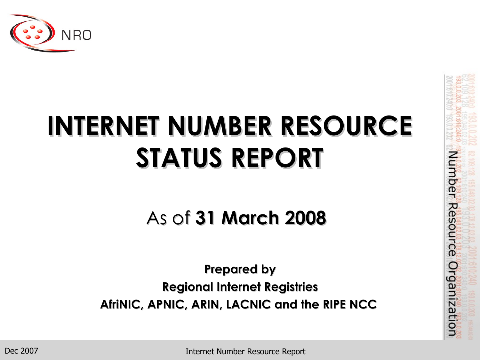

# **INTERNET NUMBER RESOURCE STATUS REPORT**

## As of **31 March 2008**

**Prepared by Regional Internet Registries AfriNIC, APNIC, ARIN, LACNIC and the RIPE NCC** Number Resource Organization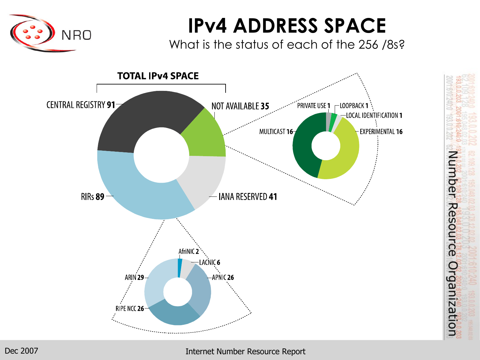

## **IPv4 ADDRESS SPACE**

What is the status of each of the 256 /8s?



Number Resource Organization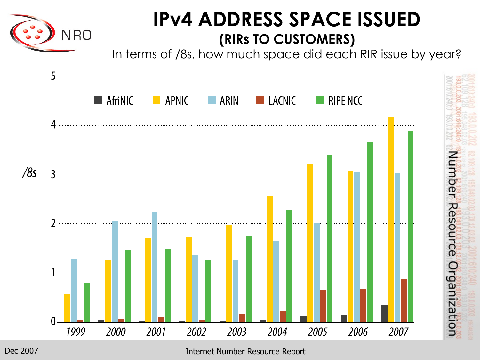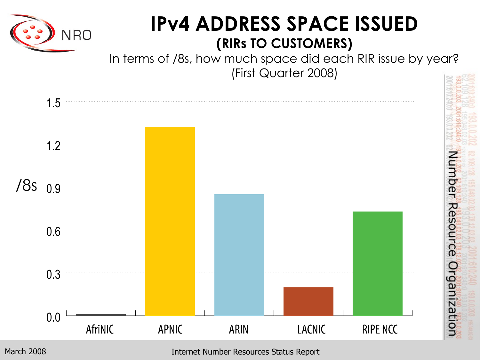

## **IPv4 ADDRESS SPACE ISSUED (RIRs TO CUSTOMERS)**

In terms of /8s, how much space did each RIR issue by year? (First Quarter 2008)

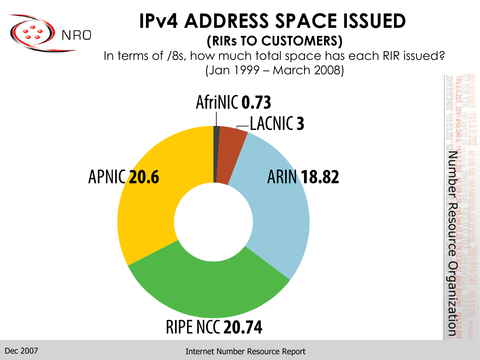

## **IPv4 ADDRESS SPACE ISSUED (RIRs TO CUSTOMERS)**

In terms of /8s, how much total space has each RIR issued? (Jan 1999 – March 2008)



Number Resource Organization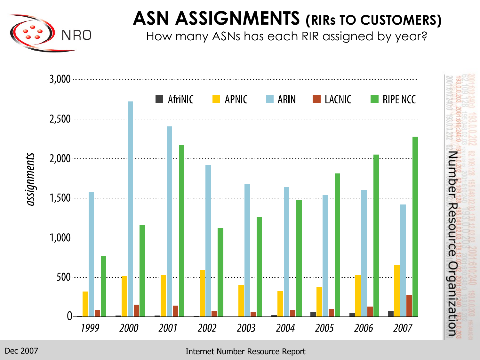

## **ASN ASSIGNMENTS (RIRs TO CUSTOMERS)**

How many ASNs has each RIR assigned by year?

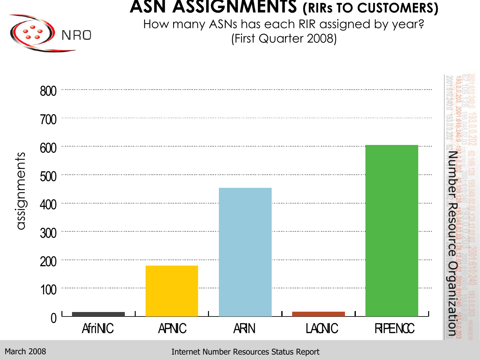#### **ASN ASSIGNMENTS (RIRs TO CUSTOMERS)**



How many ASNs has each RIR assigned by year? (First Quarter 2008)

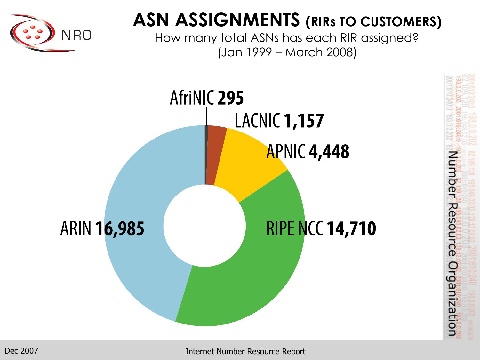

## **ASN ASSIGNMENTS (RIRs TO CUSTOMERS)**

How many total ASNs has each RIR assigned? (Jan 1999 – March 2008)

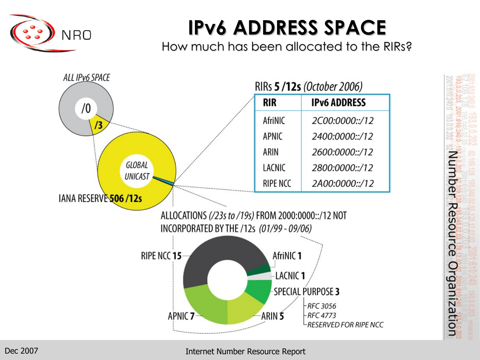

## **IPv6 ADDRESS SPACE**

How much has been allocated to the RIRs?

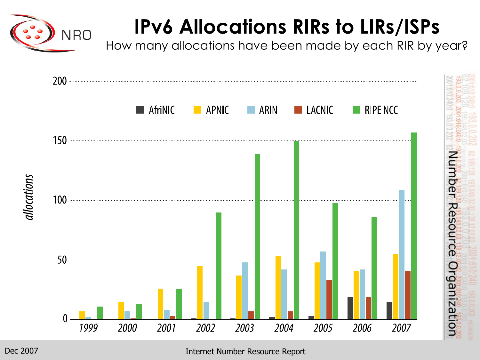

## **IPv6 Allocations RIRs to LIRs/ISPs**

How many allocations have been made by each RIR by year?

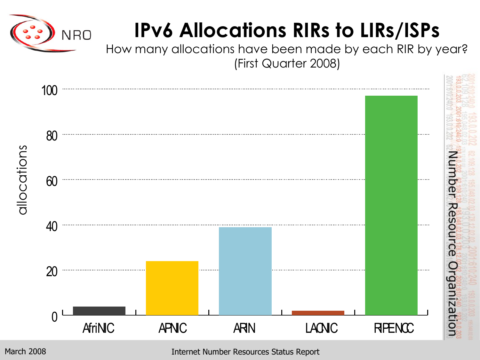

## **IPv6 Allocations RIRs to LIRs/ISPs**

How many allocations have been made by each RIR by year? (First Quarter 2008)

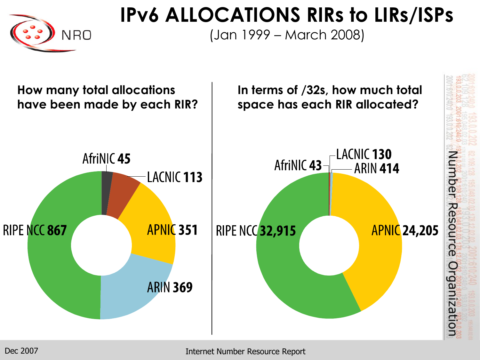

**IPv6 ALLOCATIONS RIRs to LIRs/ISPs**

(Jan 1999 – March 2008)

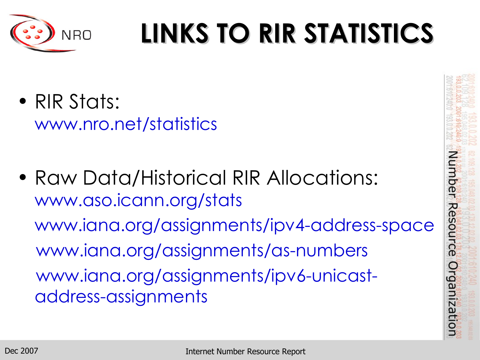

# **LINKS TO RIR STATISTICS**

- RIR Stats: www.nro.net/statistics
- Raw Data/Historical RIR Allocations: www.aso.icann.org/stats www.iana.org/assignments/ipv4-address-space www.iana.org/assignments/as-numbers www.iana.org/assignments/ipv6-unicastaddress-assignments